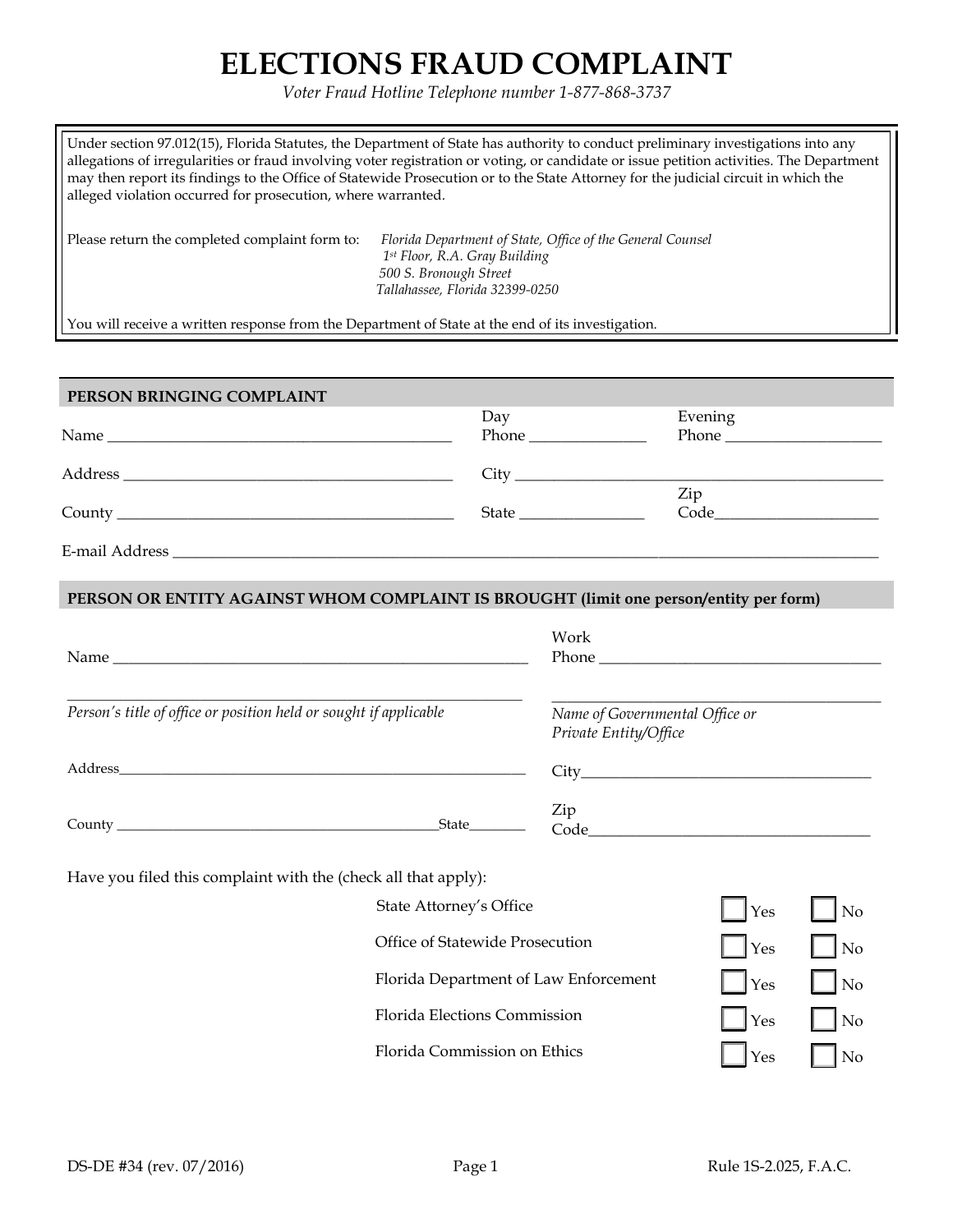## **ELECTIONS FRAUD COMPLAINT**

*Voter Fraud Hotline Telephone number 1-877-868-3737*

| Under section 97.012(15), Florida Statutes, the Department of State has authority to conduct preliminary investigations into any<br>allegations of irregularities or fraud involving voter registration or voting, or candidate or issue petition activities. The Department<br>may then report its findings to the Office of Statewide Prosecution or to the State Attorney for the judicial circuit in which the<br>alleged violation occurred for prosecution, where warranted. |                                                                                                                                                          |              |
|------------------------------------------------------------------------------------------------------------------------------------------------------------------------------------------------------------------------------------------------------------------------------------------------------------------------------------------------------------------------------------------------------------------------------------------------------------------------------------|----------------------------------------------------------------------------------------------------------------------------------------------------------|--------------|
| Please return the completed complaint form to:                                                                                                                                                                                                                                                                                                                                                                                                                                     | Florida Department of State, Office of the General Counsel<br>1st Floor, R.A. Gray Building<br>500 S. Bronough Street<br>Tallahassee, Florida 32399-0250 |              |
| You will receive a written response from the Department of State at the end of its investigation.                                                                                                                                                                                                                                                                                                                                                                                  |                                                                                                                                                          |              |
|                                                                                                                                                                                                                                                                                                                                                                                                                                                                                    |                                                                                                                                                          |              |
| PERSON BRINGING COMPLAINT                                                                                                                                                                                                                                                                                                                                                                                                                                                          |                                                                                                                                                          |              |
|                                                                                                                                                                                                                                                                                                                                                                                                                                                                                    | Day                                                                                                                                                      | Evening      |
|                                                                                                                                                                                                                                                                                                                                                                                                                                                                                    |                                                                                                                                                          | <b>Phone</b> |
|                                                                                                                                                                                                                                                                                                                                                                                                                                                                                    | City                                                                                                                                                     |              |
|                                                                                                                                                                                                                                                                                                                                                                                                                                                                                    |                                                                                                                                                          | Zip          |

E-mail Address \_\_\_\_\_\_\_\_\_\_\_\_\_\_\_\_\_\_\_\_\_\_\_\_\_\_\_\_\_\_\_\_\_\_\_\_\_\_\_\_\_\_\_\_\_\_\_\_\_\_\_\_\_\_\_\_\_\_\_\_\_\_\_\_\_\_\_\_\_\_\_\_\_\_\_\_\_\_\_\_\_\_\_\_\_\_\_\_\_\_

**PERSON OR ENTITY AGAINST WHOM COMPLAINT IS BROUGHT (limit one person/entity per form)**

County \_\_\_\_\_\_\_\_\_\_\_\_\_\_\_\_\_\_\_\_\_\_\_\_\_\_\_\_\_\_\_\_\_\_\_\_\_\_\_\_\_\_\_ State \_\_\_\_\_\_\_\_\_\_\_\_\_\_\_\_

|                                                                   |                                       | Work                                                    |     |                |
|-------------------------------------------------------------------|---------------------------------------|---------------------------------------------------------|-----|----------------|
| Person's title of office or position held or sought if applicable |                                       | Name of Governmental Office or<br>Private Entity/Office |     |                |
|                                                                   |                                       |                                                         |     |                |
|                                                                   | State                                 | Zip                                                     |     |                |
| Have you filed this complaint with the (check all that apply):    |                                       |                                                         |     |                |
|                                                                   | State Attorney's Office               |                                                         | Yes | No             |
|                                                                   | Office of Statewide Prosecution       |                                                         | Yes | N <sub>o</sub> |
|                                                                   | Florida Department of Law Enforcement |                                                         | Yes | N <sub>o</sub> |
|                                                                   | <b>Florida Elections Commission</b>   |                                                         | Yes | No             |

Florida Commission on Ethics  $\Box$  Yes  $\Box$  No

Code\_\_\_\_\_\_\_\_\_\_\_\_\_\_\_\_\_\_\_\_\_